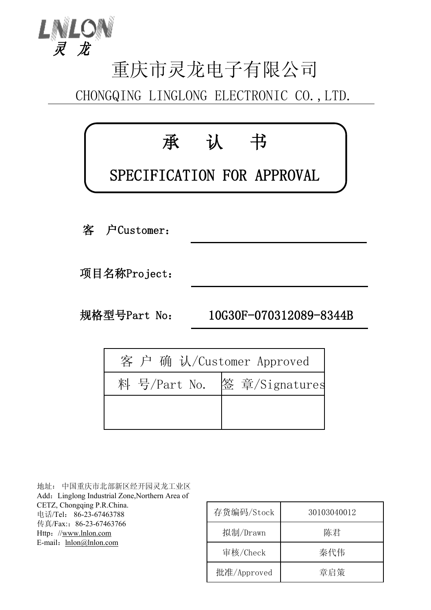

## 重庆市灵龙电子有限公司

CHONGQING LINGLONG ELECTRONIC CO.,LTD.



| 客 户 确 认/Customer Approved |  |
|---------------------------|--|
|                           |  |
|                           |  |
|                           |  |

地址: 中国重庆市北部新区经开园灵龙工业区 Add: Linglong Industrial Zone, Northern Area of CETZ, Chongqing P.R.China. 电话/Tel: 86-23-67463788 传真/Fax::86-23-67463766 Http://[www.lnlon.com](http://www.lnlon.com) E-mail: [lnlon@lnlon.com](mailto:lnlon@lnlon.com)

| 存货编码/Stock  | 30103040012 |
|-------------|-------------|
| 拟制/Drawn    | 陈君          |
| 审核/Check    | 秦代伟         |
| 批准/Approved | 章启策         |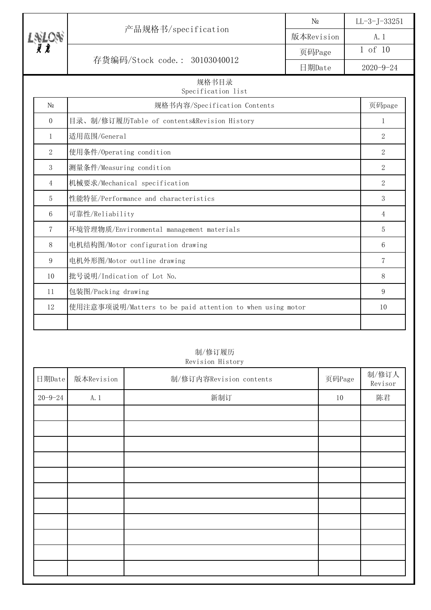|                 |                                                           | N <sub>0</sub> | $LL-3-J-33251$  |  |
|-----------------|-----------------------------------------------------------|----------------|-----------------|--|
|                 | 产品规格书/specification                                       | 版本Revision     | A. 1            |  |
|                 |                                                           | 页码Page         | 1 of 10         |  |
|                 | 存货编码/Stock code.: 30103040012                             | 日期Date         | $2020 - 9 - 24$ |  |
|                 | 规格书目录<br>Specification list                               |                |                 |  |
| N <sub>0</sub>  | 规格书内容/Specification Contents                              |                | 页码page          |  |
| $\Omega$        | 目录、制/修订履历Table of contents&Revision History               |                | $\mathbf{1}$    |  |
| 1               | 适用范围/General                                              |                | $\overline{2}$  |  |
| $\overline{2}$  | 使用条件/Operating condition                                  |                | 2               |  |
| 3               | 测量条件/Measuring condition                                  |                | 2               |  |
| $\overline{4}$  | 机械要求/Mechanical specification                             |                | $\overline{2}$  |  |
| 5               | 性能特征/Performance and characteristics                      |                | 3               |  |
| $6\phantom{1}6$ | 可靠性/Reliability                                           |                | $\overline{4}$  |  |
| $\overline{7}$  | 环境管理物质/Environmental management materials                 |                | 5               |  |
| 8               | 电机结构图/Motor configuration drawing                         |                | 6               |  |
| 9               | 电机外形图/Motor outline drawing                               |                | 7               |  |
| 10              | 批号说明/Indication of Lot No.                                |                | 8               |  |
| 11              | 包装图/Packing drawing                                       |                | 9               |  |
| 12              | 使用注意事项说明/Matters to be paid attention to when using motor |                | 10              |  |
|                 |                                                           |                |                 |  |

## 制/修订履历 Revision History

| 日期Date        | 版本Revision | 制/修订内容Revision contents | 页码Page | 制/修订人<br>Revisor |
|---------------|------------|-------------------------|--------|------------------|
| $20 - 9 - 24$ | A. 1       | 新制订                     | $10\,$ | 陈君               |
|               |            |                         |        |                  |
|               |            |                         |        |                  |
|               |            |                         |        |                  |
|               |            |                         |        |                  |
|               |            |                         |        |                  |
|               |            |                         |        |                  |
|               |            |                         |        |                  |
|               |            |                         |        |                  |
|               |            |                         |        |                  |
|               |            |                         |        |                  |
|               |            |                         |        |                  |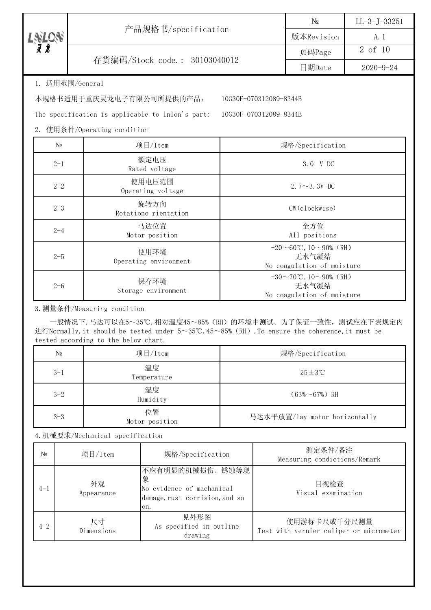| Х |                               | $\mathbb{N}^{\Omega}$ | $LL-3$ -J-33251 |
|---|-------------------------------|-----------------------|-----------------|
|   | 产品规格书/specification           | 版本Revision            | A.              |
|   |                               | 页码Page                | 2 of 10         |
|   | 存货编码/Stock code.: 30103040012 | 日期Date                | 2020-9-24       |
|   |                               |                       |                 |

1. 适用范围/General

本规格书适用于重庆灵龙电子有限公司所提供的产品: 10G30F-070312089-8344B

The specification is applicable to lnlon's part: 10G30F-070312089-8344B

2. 使用条件/Operating condition

| N <sub>0</sub> | 项目/Item                       | 规格/Specification                                                                    |
|----------------|-------------------------------|-------------------------------------------------------------------------------------|
| $2 - 1$        | 额定电压<br>Rated voltage         | 3.0 V DC                                                                            |
| $2 - 2$        | 使用电压范围<br>Operating voltage   | 2.7 $\sim$ 3.3V DC                                                                  |
| $2 - 3$        | 旋转方向<br>Rotationo rientation  | $CW$ (clockwise)                                                                    |
| $2 - 4$        | 马达位置<br>Motor position        | 全方位<br>All positions                                                                |
| $2 - 5$        | 使用环境<br>Operating environment | $-20 \sim 60^{\circ}$ C, $10 \sim 90\%$ (RH)<br>无水气凝结<br>No coagulation of moisture |
| $2 - 6$        | 保存环境<br>Storage environment   | $-30 \sim 70$ °C, 10∼90% (RH)<br>无水气凝结<br>No coagulation of moisture                |

3.测量条件/Measuring condition

 一般情况下,马达可以在5~35℃,相对温度45~85%(RH)的环境中测试。为了保证一致性,测试应在下表规定内 进行Normally,it should be tested under 5~35℃,45~85%(RH).To ensure the coherence,it must be tested according to the below chart.

| N <sub>0</sub> | 项目/Item              | 规格/Specification              |
|----------------|----------------------|-------------------------------|
| $3 - 1$        | 温度<br>Temperature    | $25+3$ °C                     |
| $3 - 2$        | 湿度<br>Humidity       | $(63\% \sim 67\%)$ RH         |
| $3 - 3$        | 位置<br>Motor position | 马达水平放置/lay motor horizontally |

4.机械要求/Mechanical specification

| N <sub>0</sub> | 项目/Item          | 规格/Specification                                                                           | 测定条件/备注<br>Measuring condictions/Remark                 |
|----------------|------------------|--------------------------------------------------------------------------------------------|---------------------------------------------------------|
| $4 - 1$        | 外观<br>Appearance | 不应有明显的机械损伤、锈蚀等现<br>象<br>No evidence of machanical<br>damage, rust corrision, and so<br>on. | 目视检查<br>Visual examination                              |
| $4 - 2$        | 尺寸<br>Dimensions | 见外形图<br>As specified in outline<br>drawing                                                 | 使用游标卡尺或千分尺测量<br>Test with vernier caliper or micrometer |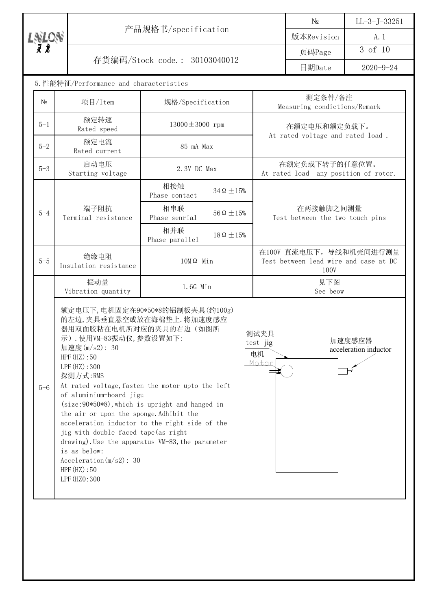|                                         |                                                                                                                                                                                                                                                                                                                                                                                                |                               |                      |  | $\rm N_{2}$                                                              | $LL-3-J-33251$  |
|-----------------------------------------|------------------------------------------------------------------------------------------------------------------------------------------------------------------------------------------------------------------------------------------------------------------------------------------------------------------------------------------------------------------------------------------------|-------------------------------|----------------------|--|--------------------------------------------------------------------------|-----------------|
|                                         |                                                                                                                                                                                                                                                                                                                                                                                                | 产品规格书/specification           |                      |  | 版本Revision                                                               | A. 1            |
| $L_{\bar{\chi}}^{NLON}$                 |                                                                                                                                                                                                                                                                                                                                                                                                |                               |                      |  | 页码Page                                                                   | 3 of 10         |
|                                         |                                                                                                                                                                                                                                                                                                                                                                                                | 存货编码/Stock code.: 30103040012 |                      |  | 日期Date                                                                   | $2020 - 9 - 24$ |
| 5. 性能特征/Performance and characteristics |                                                                                                                                                                                                                                                                                                                                                                                                |                               |                      |  |                                                                          |                 |
| N <sub>0</sub>                          | 项目/Item                                                                                                                                                                                                                                                                                                                                                                                        | 规格/Specification              |                      |  | 测定条件/备注<br>Measuring condictions/Remark                                  |                 |
| $5 - 1$                                 | 额定转速<br>Rated speed                                                                                                                                                                                                                                                                                                                                                                            | $13000 \pm 3000$ rpm          |                      |  | 在额定电压和额定负载下。                                                             |                 |
| $5 - 2$                                 | 额定电流<br>Rated current                                                                                                                                                                                                                                                                                                                                                                          |                               | 85 mA Max            |  | At rated voltage and rated load.                                         |                 |
| $5 - 3$                                 | 启动电压<br>Starting voltage                                                                                                                                                                                                                                                                                                                                                                       | 2.3V DC Max                   |                      |  | 在额定负载下转子的任意位置。<br>At rated load any position of rotor.                   |                 |
|                                         | 相接触<br>$34\Omega \pm 15\%$<br>Phase contact                                                                                                                                                                                                                                                                                                                                                    |                               |                      |  |                                                                          |                 |
| $5 - 4$                                 | 端子阻抗<br>Terminal resistance                                                                                                                                                                                                                                                                                                                                                                    | 相串联<br>Phase senrial          | $56 \Omega \pm 15\%$ |  | 在两接触脚之间测量<br>Test between the two touch pins                             |                 |
|                                         |                                                                                                                                                                                                                                                                                                                                                                                                | 相并联<br>Phase parallel         | $18\Omega \pm 15\%$  |  |                                                                          |                 |
| $5 - 5$                                 | 绝缘电阻<br>Insulation resistance                                                                                                                                                                                                                                                                                                                                                                  | $10M\Omega$ Min               |                      |  | 在100V 直流电压下, 导线和机壳间进行测量<br>Test between lead wire and case at DC<br>100V |                 |
|                                         | 振动量<br>Vibration quantity                                                                                                                                                                                                                                                                                                                                                                      | 1.6G Min                      |                      |  | 见下图<br>See beow                                                          |                 |
| $5 - 6$                                 | 额定电压下, 电机固定在90*50*8的铝制板夹具(约100g)<br>的左边,夹具垂直悬空或放在海棉垫上. 将加速度感应<br>器用双面胶粘在电机所对应的夹具的右边(如图所<br>测试夹具<br>示). 使用VM-83振动仪, 参数设置如下:<br>test jig<br>加速度(m/s2): 30<br>电机<br>HPF(HZ):50<br>Motor<br>LPF(HZ):300<br>探测方式:RMS<br>At rated voltage, fasten the motor upto the left<br>of aluminium-board jigu<br>$(size:90*50*8)$ , which is upright and hanged in<br>the air or upon the sponge. Adhibit the |                               |                      |  | 加速度感应器<br>acceleration inductor                                          |                 |

acceleration inductor to the right side of the jig with double-faced tape(as right

drawing). Use the apparatus VM-83, the parameter is as below: Acceleration(m/s2): 30

HPF(HZ):50 LPF(HZ0:300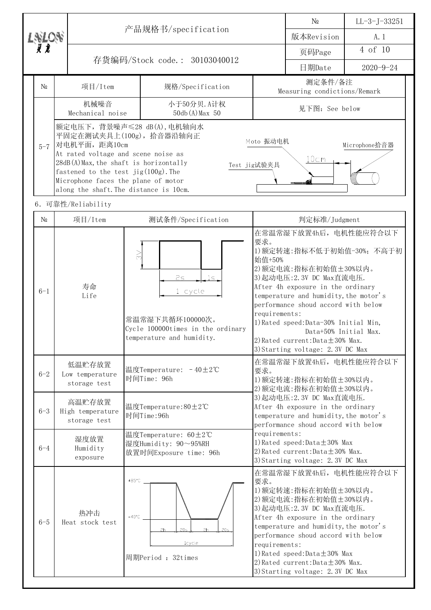|  |                                                                                                                                                                                                                                                                                                |                                            | 产品规格书/specification                                                                                                     |                                                                                                                                                                                                                                                                                                                                                                          | N <sub>0</sub>                                                                                                                                                                                                                                                                                                                                                                   | $LL-3-J-33251$  |
|--|------------------------------------------------------------------------------------------------------------------------------------------------------------------------------------------------------------------------------------------------------------------------------------------------|--------------------------------------------|-------------------------------------------------------------------------------------------------------------------------|--------------------------------------------------------------------------------------------------------------------------------------------------------------------------------------------------------------------------------------------------------------------------------------------------------------------------------------------------------------------------|----------------------------------------------------------------------------------------------------------------------------------------------------------------------------------------------------------------------------------------------------------------------------------------------------------------------------------------------------------------------------------|-----------------|
|  | $L_{\bar{\chi}L\bar{\chi}}^{NLO,N}$                                                                                                                                                                                                                                                            |                                            |                                                                                                                         |                                                                                                                                                                                                                                                                                                                                                                          | 版本Revision                                                                                                                                                                                                                                                                                                                                                                       | A. 1            |
|  |                                                                                                                                                                                                                                                                                                |                                            | 存货编码/Stock code.: 30103040012                                                                                           |                                                                                                                                                                                                                                                                                                                                                                          | 页码Page                                                                                                                                                                                                                                                                                                                                                                           | 4 of 10         |
|  |                                                                                                                                                                                                                                                                                                |                                            |                                                                                                                         |                                                                                                                                                                                                                                                                                                                                                                          | 日期Date                                                                                                                                                                                                                                                                                                                                                                           | $2020 - 9 - 24$ |
|  | N <sub>0</sub>                                                                                                                                                                                                                                                                                 | 项目/Item                                    | 规格/Specification                                                                                                        |                                                                                                                                                                                                                                                                                                                                                                          | 测定条件/备注<br>Measuring condictions/Remark                                                                                                                                                                                                                                                                                                                                          |                 |
|  |                                                                                                                                                                                                                                                                                                | 机械噪音<br>Mechanical noise                   | 小于50分贝. A计权<br>50db (A) Max 50                                                                                          |                                                                                                                                                                                                                                                                                                                                                                          | 见下图: See below                                                                                                                                                                                                                                                                                                                                                                   |                 |
|  | 额定电压下, 背景噪声≤28 dB(A), 电机轴向水<br>平固定在测试夹具上(100g), 拾音器沿轴向正<br>对电机平面, 距离10cm<br>$5 - 7$<br>At rated voltage and scene noise as<br>28dB(A)Max, the shaft is horizontally<br>fastened to the test $jig(100g)$ . The<br>Microphone faces the plane of motor<br>along the shaft. The distance is 10cm. |                                            | Moto 振动电机<br>Microphone拾音器<br>10cm<br>Test jig试验夹具                                                                      |                                                                                                                                                                                                                                                                                                                                                                          |                                                                                                                                                                                                                                                                                                                                                                                  |                 |
|  |                                                                                                                                                                                                                                                                                                | 6. 可靠性/Reliability                         |                                                                                                                         |                                                                                                                                                                                                                                                                                                                                                                          |                                                                                                                                                                                                                                                                                                                                                                                  |                 |
|  | N <sub>0</sub>                                                                                                                                                                                                                                                                                 | 项目/Item                                    | 测试条件/Specification                                                                                                      |                                                                                                                                                                                                                                                                                                                                                                          | 判定标准/Judgment                                                                                                                                                                                                                                                                                                                                                                    |                 |
|  | $6 - 1$                                                                                                                                                                                                                                                                                        | 寿命<br>Life                                 | $\gtrsim$<br>2s<br>1s.<br>1 cycle<br>常温常湿下共循环100000次。<br>Cycle 100000times in the ordinary<br>temperature and humidity. | 要求。<br>始值+50%<br>requirements:                                                                                                                                                                                                                                                                                                                                           | 在常温常湿下放置4h后, 电机性能应符合以下<br>1) 额定转速: 指标不低于初始值-30%; 不高于初<br>2) 额定电流: 指标在初始值±30%以内。<br>3) 起动电压: 2.3V DC Max直流电压.<br>After 4h exposure in the ordinary<br>temperature and humidity, the motor's<br>performance shoud accord with below<br>1) Rated speed: Data-30% Initial Min,<br>Data+50% Initial Max.<br>2) Rated current: Data $\pm$ 30% Max.<br>3) Starting voltage: 2.3V DC Max |                 |
|  | $6 - 2$                                                                                                                                                                                                                                                                                        | 低温贮存放置<br>Low temperature<br>storage test  | 温度Temperature: -40±2℃<br>时间Time: 96h                                                                                    | 要求。                                                                                                                                                                                                                                                                                                                                                                      | 在常温常湿下放置4h后, 电机性能应符合以下<br>1) 额定转速: 指标在初始值±30%以内。<br>2) 额定电流: 指标在初始值±30%以内。                                                                                                                                                                                                                                                                                                       |                 |
|  | $6 - 3$                                                                                                                                                                                                                                                                                        | 高温贮存放置<br>High temperature<br>storage test | 温度Temperature:80±2℃<br>时间Time:96h                                                                                       |                                                                                                                                                                                                                                                                                                                                                                          | 3) 起动电压: 2.3V DC Max直流电压.<br>After 4h exposure in the ordinary<br>temperature and humidity, the motor's<br>performance shoud accord with below                                                                                                                                                                                                                                   |                 |
|  | 温度Temperature: 60±2℃<br>湿度放置<br>湿度Humidity: 90~95%RH<br>$6 - 4$<br>Humidity<br>放置时间Exposure time: 96h<br>exposure                                                                                                                                                                              |                                            |                                                                                                                         | requirements:                                                                                                                                                                                                                                                                                                                                                            | 1) Rated speed: $Data \pm 30\%$ Max<br>2) Rated current: Data $\pm$ 30% Max.<br>3) Starting voltage: 2.3V DC Max                                                                                                                                                                                                                                                                 |                 |
|  | $6 - 5$                                                                                                                                                                                                                                                                                        | 热冲击<br>Heat stock test                     | $+85^{\circ}$ C<br>$-40^{\circ}$ C<br>20s<br>2h<br>20s<br>2h<br><b>lcycle</b><br>周期Period: 32times                      | 在常温常湿下放置4h后, 电机性能应符合以下<br>要求。<br>1) 额定转速: 指标在初始值±30%以内。<br>2) 额定电流: 指标在初始值±30%以内。<br>3) 起动电压: 2.3V DC Max直流电压.<br>After 4h exposure in the ordinary<br>temperature and humidity, the motor's<br>performance shoud accord with below<br>requirements:<br>1) Rated speed: $Data \pm 30\%$ Max<br>2) Rated current: Data $\pm$ 30% Max.<br>3) Starting voltage: 2.3V DC Max |                                                                                                                                                                                                                                                                                                                                                                                  |                 |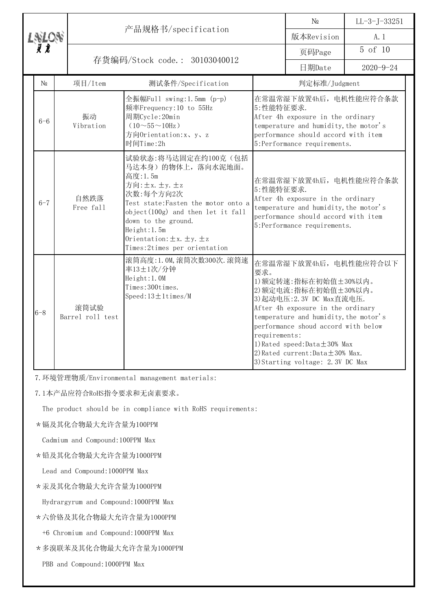|  |          |                                                                                                                                                                     | 产品规格书/specification                                                                                                                                                                                                                                                            |                                                                                                                                                                                                                                                                                                                                                                                                                                                                                                                                                                     | N <sub>0</sub>                                                                                                                                                             | $LL-3$ -J-33251 |
|--|----------|---------------------------------------------------------------------------------------------------------------------------------------------------------------------|--------------------------------------------------------------------------------------------------------------------------------------------------------------------------------------------------------------------------------------------------------------------------------|---------------------------------------------------------------------------------------------------------------------------------------------------------------------------------------------------------------------------------------------------------------------------------------------------------------------------------------------------------------------------------------------------------------------------------------------------------------------------------------------------------------------------------------------------------------------|----------------------------------------------------------------------------------------------------------------------------------------------------------------------------|-----------------|
|  |          |                                                                                                                                                                     |                                                                                                                                                                                                                                                                                |                                                                                                                                                                                                                                                                                                                                                                                                                                                                                                                                                                     | 版本Revision                                                                                                                                                                 | A. 1            |
|  |          |                                                                                                                                                                     |                                                                                                                                                                                                                                                                                |                                                                                                                                                                                                                                                                                                                                                                                                                                                                                                                                                                     | 页码Page                                                                                                                                                                     | 5 of 10         |
|  |          |                                                                                                                                                                     | 存货编码/Stock code.: 30103040012                                                                                                                                                                                                                                                  |                                                                                                                                                                                                                                                                                                                                                                                                                                                                                                                                                                     | 日期Date                                                                                                                                                                     | $2020 - 9 - 24$ |
|  | $\rm No$ | 项目/Item                                                                                                                                                             | 测试条件/Specification                                                                                                                                                                                                                                                             |                                                                                                                                                                                                                                                                                                                                                                                                                                                                                                                                                                     | 判定标准/Judgment                                                                                                                                                              |                 |
|  | $6 - 6$  | 全振幅Full swing:1.5mm (p-p)<br>频率Frequency: 10 to 55Hz<br>振动<br>周期Cycle:20min<br>Vibration<br>$(10\!\sim\!55\!\sim\!10\text{Hz})$<br>方向Orientation:x、y、z<br>时间Time:2h |                                                                                                                                                                                                                                                                                | 5: 性能特征要求.                                                                                                                                                                                                                                                                                                                                                                                                                                                                                                                                                          | 在常温常湿下放置4h后, 电机性能应符合条款<br>After 4h exposure in the ordinary<br>temperature and humidity, the motor's<br>performance should accord with item<br>5:Performance requirements. |                 |
|  | $6 - 7$  | 自然跌落<br>Free fall                                                                                                                                                   | 试验状态:将马达固定在约100克(包括<br>马达本身)的物体上,落向水泥地面。<br>高度:1.5m<br>方向: ±x. ±y. ±z<br>次数:每个方向2次<br>Test state: Fasten the motor onto a<br>$object(100g)$ and then let it fall<br>down to the ground.<br>Height: 1.5m<br>Orientation: $\pm x. \pm y. \pm z$<br>Times: 2times per orientation | 在常温常湿下放置4h后, 电机性能应符合条款<br>5:性能特征要求.<br>After 4h exposure in the ordinary<br>temperature and humidity, the motor's<br>performance should accord with item<br>5:Performance requirements.<br>在常温常湿下放置4h后, 电机性能应符合以下<br>要求。<br>1) 额定转速: 指标在初始值±30%以内。<br>2) 额定电流: 指标在初始值±30%以内。<br>3) 起动电压: 2.3V DC Max直流电压.<br>After 4h exposure in the ordinary<br>temperature and humidity, the motor's<br>performance shoud accord with below<br>requirements:<br>1) Rated speed: $Data \pm 30\%$ Max<br>2) Rated current: Data $\pm$ 30% Max.<br>3) Starting voltage: 2.3V DC Max |                                                                                                                                                                            |                 |
|  | $6 - 8$  | 滚筒试验<br>Barrel roll test                                                                                                                                            | 滚筒高度: 1.0M, 滚筒次数300次. 滚筒速<br>率13±1次/分钟<br>Height: 1.0M<br>Times: 300times.<br>$Speed:13 \pm 1 \times \times N$                                                                                                                                                                 |                                                                                                                                                                                                                                                                                                                                                                                                                                                                                                                                                                     |                                                                                                                                                                            |                 |

7.环境管理物质/Environmental management materials:

7.1本产品应符合RoHS指令要求和无卤素要求。

The product should be in compliance with RoHS requirements:

\*镉及其化合物最大允许含量为100PPM

Cadmium and Compound:100PPM Max

\*铅及其化合物最大允许含量为1000PPM

Lead and Compound:1000PPM Max

\*汞及其化合物最大允许含量为1000PPM

Hydrargyrum and Compound:1000PPM Max

\*六价铬及其化合物最大允许含量为1000PPM

+6 Chromium and Compound:1000PPM Max

- \*多溴联苯及其化合物最大允许含量为1000PPM
	- PBB and Compound:1000PPM Max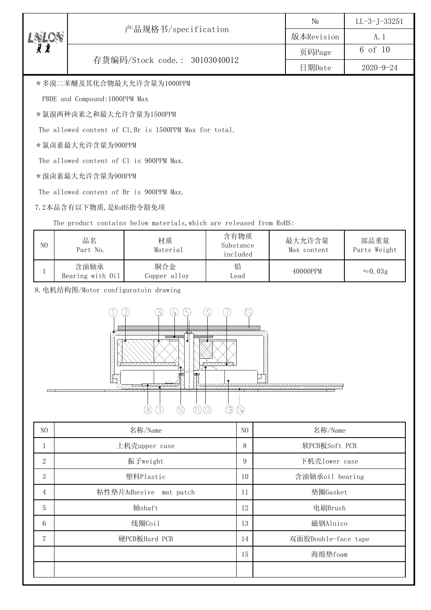|  |                               | N <sub>0</sub> | $LL-3-J-33251$  |
|--|-------------------------------|----------------|-----------------|
|  | 产品规格书/specification           | 版本Revision     | A. I            |
|  |                               | 页码Page         | 6 of 10         |
|  | 存货编码/Stock code.: 30103040012 | 日期Date         | $2020 - 9 - 24$ |
|  |                               |                |                 |

\*多溴二苯醚及其化合物最大允许含量为1000PPM

PBDE and Compound:1000PPM Max

\*氯溴两种卤素之和最大允许含量为1500PPM

The allowed content of Cl,Br is 1500PPM Max for total.

\*氯卤素最大允许含量为900PPM

The allowed content of Cl is 900PPM Max.

\*溴卤素最大允许含量为900PPM

The allowed content of Br is 900PPM Max.

7.2本品含有以下物质,是RoHS指令豁免项

The product contains below materials, which are released from RoHS:

| N <sub>0</sub> | 品名<br>Part No.           | 材质<br>Material      | 含有物质<br>Substance<br>included | 最大允许含量<br>Max content | 部品重量<br>Parts Weight |
|----------------|--------------------------|---------------------|-------------------------------|-----------------------|----------------------|
|                | 含油轴承<br>Bearing with Oil | 铜合金<br>Copper alloy | 铅<br>Lead                     | 40000PPM              | $\approx 0.03$ g     |

8.电机结构图/Motor configuratoin drawing



| N <sub>O</sub> | 名称/Name                   | N() | 名称/Name             |
|----------------|---------------------------|-----|---------------------|
| T              | 上机壳upper case             | 8   | 软PCB板Soft PCB       |
| $\mathbf{2}$   | 振子weight                  | 9   | 下机壳1ower case       |
| 3              | 塑料Plastic                 | 10  | 含油轴承oil bearing     |
| 4              | 粘性垫片Adhesive<br>mat patch | 11  | 垫圈Gasket            |
| 5              | 轴shaft                    | 12  | 电刷Brush             |
| 6              | 线圈Coil                    | 13  | 磁钢Alnico            |
| $\overline{7}$ | 硬PCB板Hard PCB             | 14  | 双面胶Double-face tape |
|                |                           | 15  | 海绵垫foam             |
|                |                           |     |                     |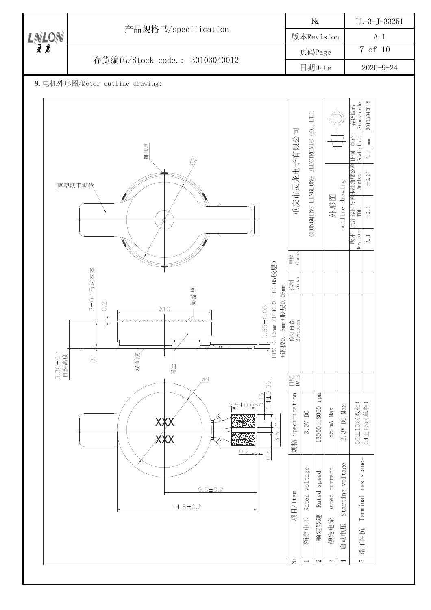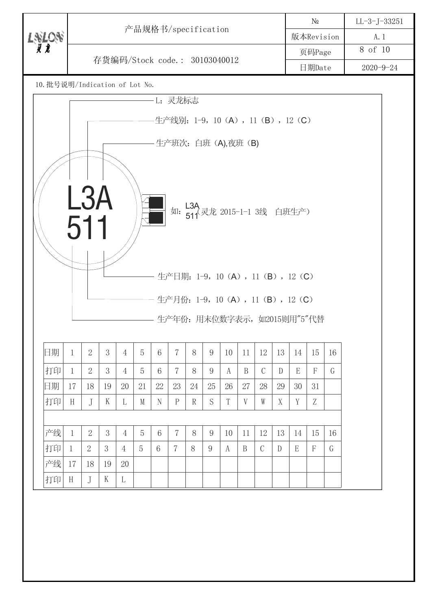|                                |              | 产品规格书/specification |    |                |    |        |                |        |                                                   |                 | $N\!{\underline{\text{o}}}$ |               | $LL-3-J-33251$ |    |                             |    |  |  |
|--------------------------------|--------------|---------------------|----|----------------|----|--------|----------------|--------|---------------------------------------------------|-----------------|-----------------------------|---------------|----------------|----|-----------------------------|----|--|--|
| LNLON<br><i>XX</i>             |              |                     |    |                |    |        |                |        |                                                   |                 | 版本Revision                  |               | A. 1           |    |                             |    |  |  |
|                                |              |                     |    |                |    |        |                |        |                                                   | 页码Page          |                             | 8 of 10       |                |    |                             |    |  |  |
| 存货编码/Stock code.: 30103040012  |              |                     |    |                |    |        |                | 日期Date |                                                   | $2020 - 9 - 24$ |                             |               |                |    |                             |    |  |  |
| 10. 批号说明/Indication of Lot No. |              |                     |    |                |    |        |                |        |                                                   |                 |                             |               |                |    |                             |    |  |  |
|                                |              |                     |    |                |    |        | L: 灵龙标志        |        |                                                   |                 |                             |               |                |    |                             |    |  |  |
|                                |              |                     |    |                |    |        |                |        | 生产线别: 1-9, 10 (A), 11 (B), 12 (C)                 |                 |                             |               |                |    |                             |    |  |  |
|                                |              |                     |    |                |    |        |                |        |                                                   |                 |                             |               |                |    |                             |    |  |  |
|                                |              |                     |    |                |    |        |                |        | - 生产班次: 白班 (A),夜班 (B)                             |                 |                             |               |                |    |                             |    |  |  |
|                                |              |                     |    |                |    |        |                |        |                                                   |                 |                             |               |                |    |                             |    |  |  |
|                                |              |                     |    |                |    |        |                |        |                                                   |                 |                             |               |                |    |                             |    |  |  |
|                                |              | L3A                 |    |                |    |        |                |        |                                                   |                 |                             |               |                |    |                             |    |  |  |
|                                |              |                     |    |                |    |        |                |        | 如: L3A<br>如: 511 <sup>、灵龙 2015-1-1</sup> 3线 白班生产) |                 |                             |               |                |    |                             |    |  |  |
|                                |              | 511                 |    |                |    |        |                |        |                                                   |                 |                             |               |                |    |                             |    |  |  |
|                                |              |                     |    |                |    |        |                |        |                                                   |                 |                             |               |                |    |                             |    |  |  |
|                                |              |                     |    |                |    |        |                |        |                                                   |                 |                             |               |                |    |                             |    |  |  |
|                                |              |                     |    |                |    |        |                |        |                                                   |                 |                             |               |                |    |                             |    |  |  |
|                                |              |                     |    |                |    |        |                |        |                                                   |                 |                             |               |                |    |                             |    |  |  |
|                                |              |                     |    |                |    |        |                |        | 生产日期: 1-9, 10 (A), 11 (B), 12 (C)                 |                 |                             |               |                |    |                             |    |  |  |
|                                |              |                     |    |                |    |        |                |        |                                                   |                 |                             |               |                |    |                             |    |  |  |
|                                |              |                     |    |                |    |        |                |        | 生产月份: 1-9, 10 (A), 11 (B), 12 (C)                 |                 |                             |               |                |    |                             |    |  |  |
|                                |              |                     |    |                |    |        |                |        |                                                   |                 |                             |               |                |    | 生产年份: 用末位数字表示, 如2015则用"5"代替 |    |  |  |
|                                |              |                     |    |                |    |        |                |        |                                                   |                 |                             |               |                |    |                             |    |  |  |
| 日期                             | $\mathbf{1}$ | $\overline{2}$      | 3  | $\overline{4}$ | 5  | 6      | $\overline{7}$ | 8      | 9                                                 | 10              | 11                          | 12            | 13             | 14 | 15                          | 16 |  |  |
| 打印                             | $\mathbf{1}$ | $\overline{2}$      | 3  | $\overline{4}$ | 5  | 6      | $\overline{7}$ | 8      | 9                                                 | A               | B                           | $\mathcal{C}$ | D              | E  | $\boldsymbol{F}$            | G  |  |  |
| 日期                             | 17           | 18                  | 19 | 20             | 21 | $22\,$ | 23             | 24     | 25                                                | 26              | 27                          | 28            | 29             | 30 | 31                          |    |  |  |
| 打印                             | H            | J                   | K  | L              | M  | N      | $\mathbf{P}$   | R      | S                                                 | T               | V                           | W             | X              | Y  | Z                           |    |  |  |
|                                |              |                     |    |                |    |        |                |        |                                                   |                 |                             |               |                |    |                             |    |  |  |
| 产线                             | $\mathbf{1}$ | $\overline{2}$      | 3  | $\overline{4}$ | 5  | 6      | $\overline{7}$ | 8      | 9                                                 | 10              | 11                          | 12            | 13             | 14 | 15                          | 16 |  |  |
| 打印                             | $\mathbf 1$  | $\overline{2}$      | 3  | 4              | 5  | 6      | $\frac{7}{2}$  | 8      | 9                                                 | A               | B                           | $\mathcal{C}$ | D              | E  | $\boldsymbol{F}$            | G  |  |  |
| 产线                             | 17           | 18                  | 19 | 20             |    |        |                |        |                                                   |                 |                             |               |                |    |                             |    |  |  |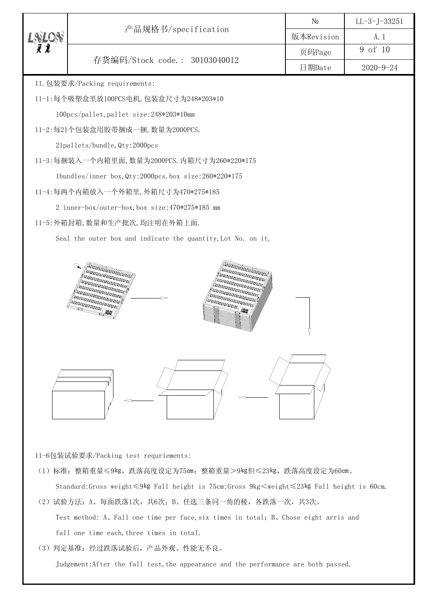|                                                                                                                                                                                                                                                                                                                                                                                                                                                                                                                                                                                                                    | N <sub>0</sub> | $LL-3-J-33251$  |
|--------------------------------------------------------------------------------------------------------------------------------------------------------------------------------------------------------------------------------------------------------------------------------------------------------------------------------------------------------------------------------------------------------------------------------------------------------------------------------------------------------------------------------------------------------------------------------------------------------------------|----------------|-----------------|
| 产品规格书/specification                                                                                                                                                                                                                                                                                                                                                                                                                                                                                                                                                                                                | 版本Revision     | A. 1            |
|                                                                                                                                                                                                                                                                                                                                                                                                                                                                                                                                                                                                                    | 页码Page         | 9 of 10         |
| 存货编码/Stock code.: 30103040012                                                                                                                                                                                                                                                                                                                                                                                                                                                                                                                                                                                      | 日期Date         | $2020 - 9 - 24$ |
| 11. 包装要求/Packing requirements:                                                                                                                                                                                                                                                                                                                                                                                                                                                                                                                                                                                     |                |                 |
| 11-1:每个吸塑盒里放100PCS电机, 包装盒尺寸为248*203*10                                                                                                                                                                                                                                                                                                                                                                                                                                                                                                                                                                             |                |                 |
| 100pcs/pallet, pallet size:248*203*10mm                                                                                                                                                                                                                                                                                                                                                                                                                                                                                                                                                                            |                |                 |
| 11-2:每21个包装盒用胶带捆成一捆, 数量为2000PCS.                                                                                                                                                                                                                                                                                                                                                                                                                                                                                                                                                                                   |                |                 |
| 21pallets/bundle, Qty: 2000pcs                                                                                                                                                                                                                                                                                                                                                                                                                                                                                                                                                                                     |                |                 |
| 11-3:每捆装入一个内箱里面, 数量为2000PCS. 内箱尺寸为260*220*175                                                                                                                                                                                                                                                                                                                                                                                                                                                                                                                                                                      |                |                 |
| 1bundles/inner box, Qty:2000pcs.box size:260*220*175                                                                                                                                                                                                                                                                                                                                                                                                                                                                                                                                                               |                |                 |
| 11-4:每两个内箱放入一个外箱里, 外箱尺寸为470*275*185                                                                                                                                                                                                                                                                                                                                                                                                                                                                                                                                                                                |                |                 |
| 2 inner-box/outer-box, box size:470*275*185 mm                                                                                                                                                                                                                                                                                                                                                                                                                                                                                                                                                                     |                |                 |
| 11-5: 外箱封箱, 数量和生产批次, 均注明在外箱上面.                                                                                                                                                                                                                                                                                                                                                                                                                                                                                                                                                                                     |                |                 |
| Seal the outer box and indicate the quantity, Lot No. on it.                                                                                                                                                                                                                                                                                                                                                                                                                                                                                                                                                       |                |                 |
| <b>FRANCISCO PROPERTY</b><br>FORD DIRECTOR DE LA<br><b>FRIDERICA BRITIS</b><br>Anna Tanana<br><b>FRIERIKANISTIKAN</b><br><b>MARA ARABARA ARA</b><br><b>1999 PERSONAL PROPERTY</b><br>LINES SERVES SERVE<br>n Branden Branden Branden Branden Branden Branden Branden Branden Branden Branden Branden Branden Branden Branden Branden Branden Branden Branden Branden Branden Branden Branden Branden Branden Branden Branden Branden Bran<br><b>MARABARARAY</b><br>nn gebruiken († 1919)<br><b>MARABARARAN</b><br><b>MARABARANAS</b><br><b>RADAR ARABERARY</b><br><b>RESERVED DES</b><br><b>REPERDENCE IN 1989</b> |                |                 |
|                                                                                                                                                                                                                                                                                                                                                                                                                                                                                                                                                                                                                    |                |                 |

11-6包装试验要求/Packing test requriements:

- (1)标准:整箱重量≤9㎏,跌落高度设定为75㎝;整箱重量>9㎏但≤23㎏,跌落高度设定为60㎝。 Standard:Gross weight≤9㎏ Fall height is 75cm;Gross 9kg<weight≤23㎏ Fall height is 60cm.
- (2)试验方法:A、每面跌落1次,共6次;B、任选三条同一角的棱,各跌落一次,共3次。 Test method: A, Fall one time per face, six times in total; B, Chose eight arris and fall one time each, three times in total.
- (3)判定基准:经过跌落试验后,产品外观、性能无不良。

Judgement:After the fall test, the appearance and the performance are both passed.